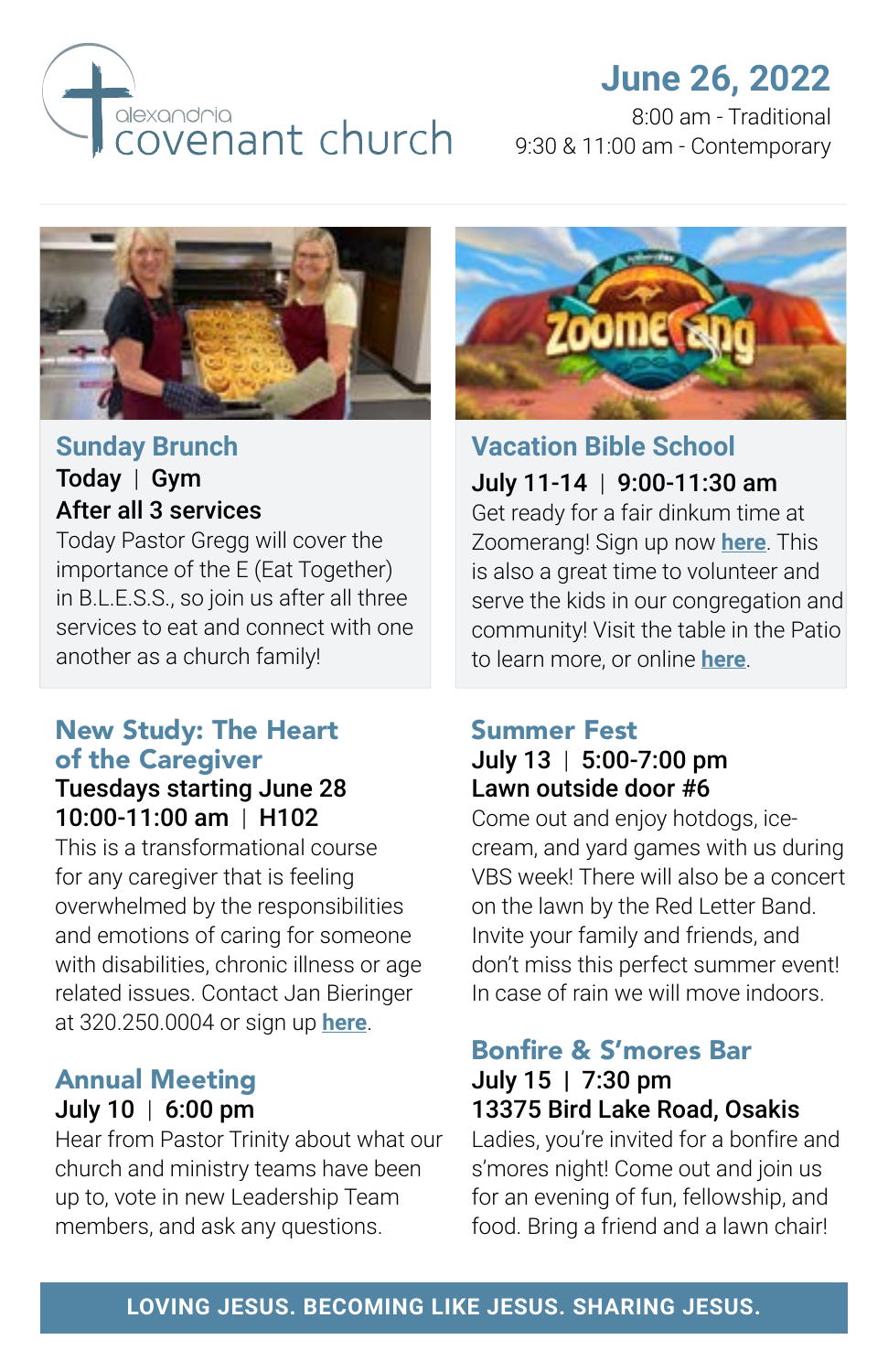

# **June 26, 2022**

8:00 am - Traditional 9:30 & 11:00 am - Contemporary



#### **Sunday Brunch** Today | Gym After all 3 services

Today Pastor Gregg will cover the importance of the E (Eat Together) in B.L.E.S.S., so join us after all three services to eat and connect with one another as a church family!

### New Study: The Heart of the Caregiver

### Tuesdays starting June 28 10:00-11:00 am | H102

This is a transformational course for any caregiver that is feeling overwhelmed by the responsibilities and emotions of caring for someone with disabilities, chronic illness or age related issues. Contact Jan Bieringer at 320.250.0004 or sign up **[here](https://alexandriacovenant.ccbchurch.com/goto/forms/338/responses/new)**.

#### Annual Meeting July 10 | 6:00 pm

Hear from Pastor Trinity about what our church and ministry teams have been up to, vote in new Leadership Team members, and ask any questions.



**Vacation Bible School** July 11-14 | 9:00-11:30 am Get ready for a fair dinkum time at Zoomerang! Sign up now **[here](https://alexandriacovenant.ccbchurch.com/goto/forms/333/responses/new)**. This is also a great time to volunteer and serve the kids in our congregation and community! Visit the table in the Patio to learn more, or online **[here](https://alexandriacovenant.ccbchurch.com/goto/forms/336/responses/new)**.

#### Summer Fest July 13 | 5:00-7:00 pm Lawn outside door #6

Come out and enjoy hotdogs, icecream, and yard games with us during VBS week! There will also be a concert on the lawn by the Red Letter Band. Invite your family and friends, and don't miss this perfect summer event! In case of rain we will move indoors.

#### Bonfire & S'mores Bar July 15 | 7:30 pm 13375 Bird Lake Road, Osakis

Ladies, you're invited for a bonfire and s'mores night! Come out and join us for an evening of fun, fellowship, and food. Bring a friend and a lawn chair!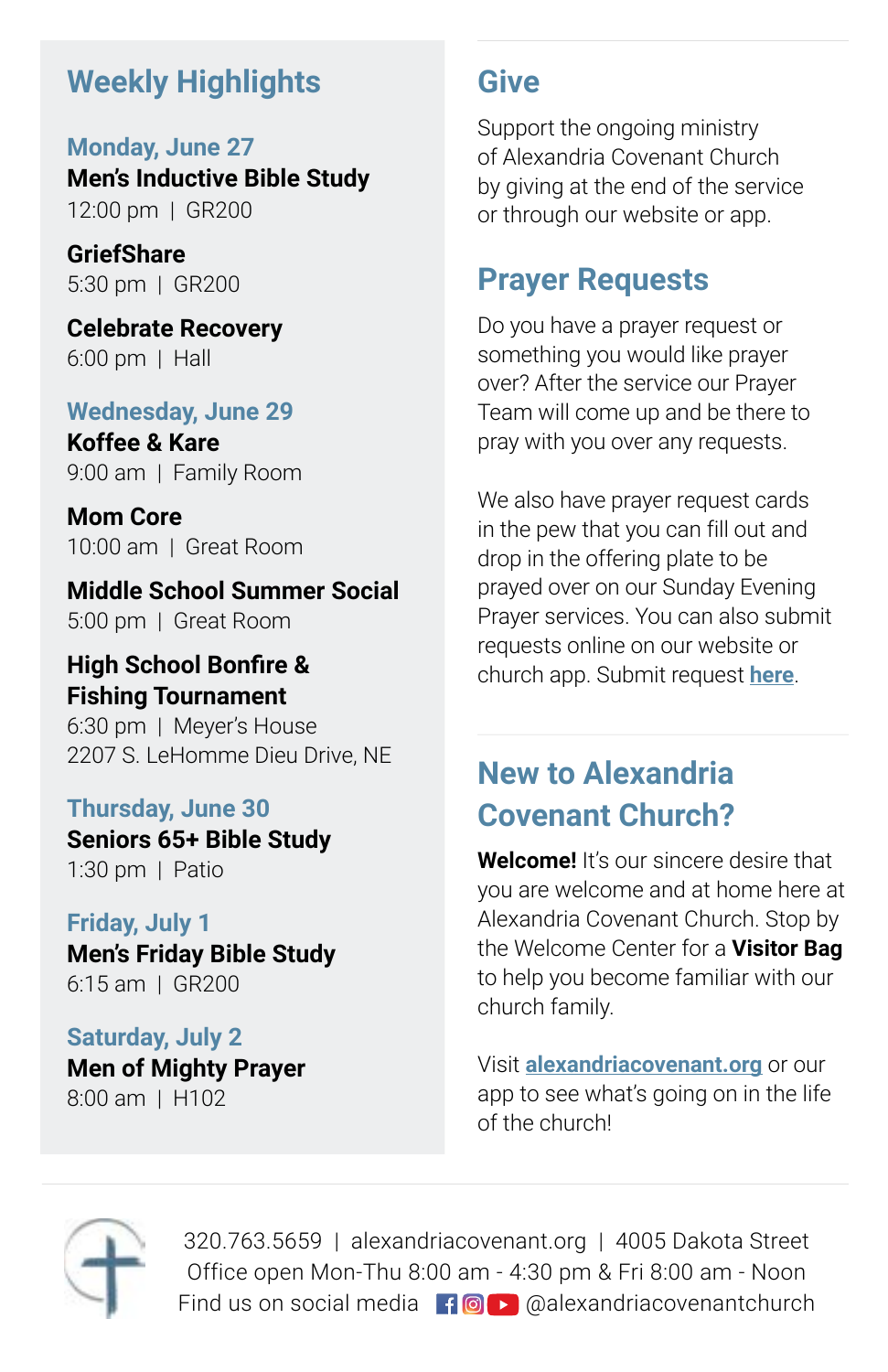# **Weekly Highlights**

**Monday, June 27 Men's Inductive Bible Study** 12:00 pm | GR200

**GriefShare** 5:30 pm | GR200

**Celebrate Recovery** 6:00 pm | Hall

#### **Wednesday, June 29**

**Koffee & Kare** 9:00 am | Family Room

**Mom Core** 10:00 am | Great Room

**Middle School Summer Social** 5:00 pm | Great Room

### **High School Bonfire & Fishing Tournament**

6:30 pm | Meyer's House 2207 S. LeHomme Dieu Drive, NE

#### **Thursday, June 30**

**Seniors 65+ Bible Study** 1:30 pm | Patio

#### **Friday, July 1**

**Men's Friday Bible Study** 6:15 am | GR200

## **Saturday, July 2**

**Men of Mighty Prayer** 8:00 am | H102

## **Give**

Support the ongoing ministry of Alexandria Covenant Church by giving at the end of the service or through our website or app.

## **Prayer Requests**

Do you have a prayer request or something you would like prayer over? After the service our Prayer Team will come up and be there to pray with you over any requests.

We also have prayer request cards in the pew that you can fill out and drop in the offering plate to be prayed over on our Sunday Evening Prayer services. You can also submit requests online on our website or church app. Submit request **[here](https://alexandriacovenant.ccbchurch.com/goto/forms/37/responses/new)**.

# **New to Alexandria Covenant Church?**

**Welcome!** It's our sincere desire that you are welcome and at home here at Alexandria Covenant Church. Stop by the Welcome Center for a **Visitor Bag** to help you become familiar with our church family.

Visit **alexandriacovenant.org** or our app to see what's going on in the life of the church!



320.763.5659 | alexandriacovenant.org | 4005 Dakota Street Office open Mon-Thu 8:00 am - 4:30 pm & Fri 8:00 am - Noon Find us on social media  $\mathbf{f} \odot \mathbf{r}$  @alexandriacovenantchurch